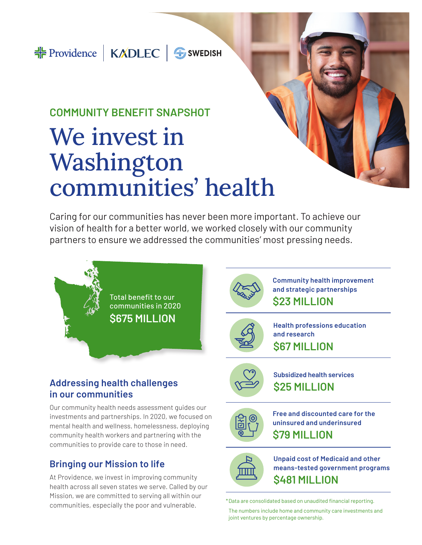## **COMMUNITY BENEFIT SNAPSHOT** We invest in Washington communities' health

Caring for our communities has never been more important. To achieve our vision of health for a better world, we worked closely with our community partners to ensure we addressed the communities' most pressing needs.

> communities in 2020 **\$675 MILLION**

Total benefit to our



**Community health improvement and strategic partnerships \$23 MILLION**



**Health professions education and research \$67 MILLION**



**Subsidized health services \$25 MILLION**



**Free and discounted care for the uninsured and underinsured \$79 MILLION**



**Unpaid cost of Medicaid and other means-tested government programs \$481 MILLION**

The numbers include home and community care investments and joint ventures by percentage ownership.

### **Addressing health challenges in our communities**

Our community health needs assessment guides our investments and partnerships. In 2020, we focused on mental health and wellness, homelessness, deploying community health workers and partnering with the communities to provide care to those in need.

## **Bringing our Mission to life**

At Providence, we invest in improving community health across all seven states we serve. Called by our Mission, we are committed to serving all within our communities, especially the poor and vulnerable. \*Data are consolidated based on unaudited financial reporting.